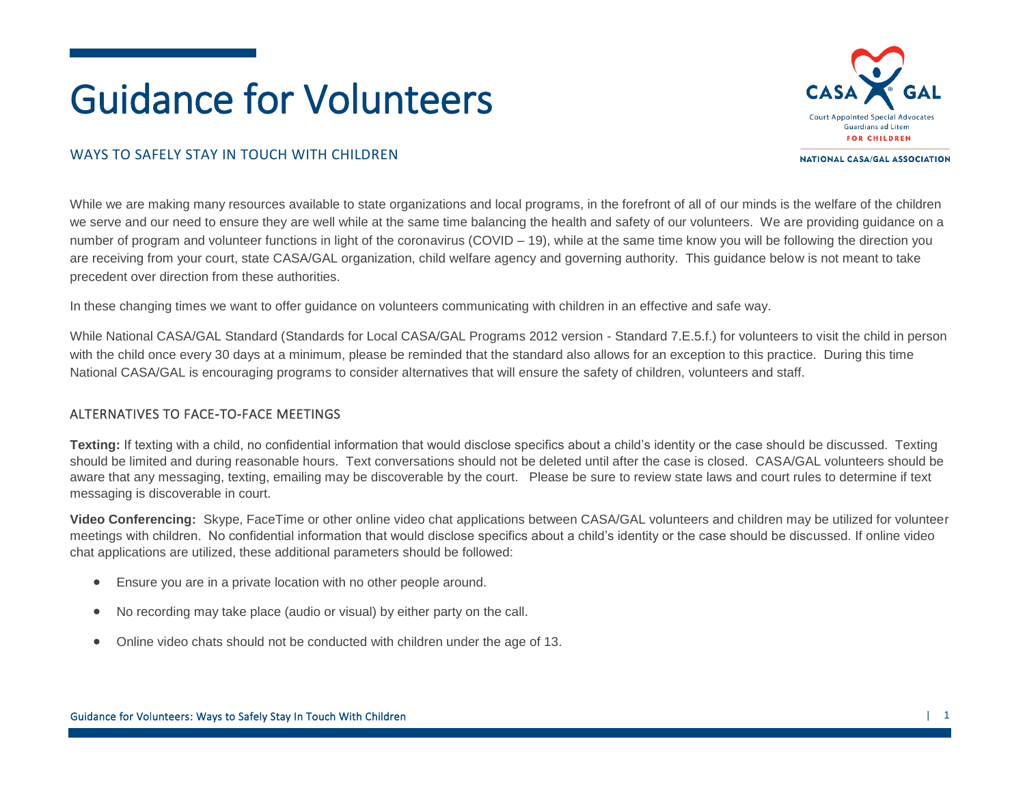# Guidance for Volunteers



**NATIONAL CASA/GAL ASSOCIATION** 

# WAYS TO SAFELY STAY IN TOUCH WITH CHILDREN

While we are making many resources available to state organizations and local programs, in the forefront of all of our minds is the welfare of the children we serve and our need to ensure they are well while at the same time balancing the health and safety of our volunteers. We are providing guidance on a number of program and volunteer functions in light of the coronavirus  $(COVID - 19)$ , while at the same time know you will be following the direction you are receiving from your court, state CASA/GAL organization, child welfare agency and governing authority. This guidance below is not meant to take precedent over direction from these authorities.

In these changing times we want to offer guidance on volunteers communicating with children in an effective and safe way.

While National CASA/GAL Standard (Standards for Local CASA/GAL Programs 2012 version - Standard 7.E.5.f.) for volunteers to visit the child in person with the child once every 30 days at a minimum, please be reminded that the standard also allows for an exception to this practice. During this time National CASA/GAL is encouraging programs to consider alternatives that will ensure the safety of children, volunteers and staff.

#### ALTERNATIVES TO FACE-TO-FACE MEETINGS

**Texting:** If texting with a child, no confidential information that would disclose specifics about a child's identity or the case should be discussed. Texting should be limited and during reasonable hours. Text conversations should not be deleted until after the case is closed. CASA/GAL volunteers should be aware that any messaging, texting, emailing may be discoverable by the court. Please be sure to review state laws and court rules to determine if text messaging is discoverable in court.

**Video Conferencing:** Skype, FaceTime or other online video chat applications between CASA/GAL volunteers and children may be utilized for volunteer meetings with children. No confidential information that would disclose specifics about a child's identity or the case should be discussed. If online video chat applications are utilized, these additional parameters should be followed:

- Ensure you are in a private location with no other people around.
- No recording may take place (audio or visual) by either party on the call.
- Online video chats should not be conducted with children under the age of 13.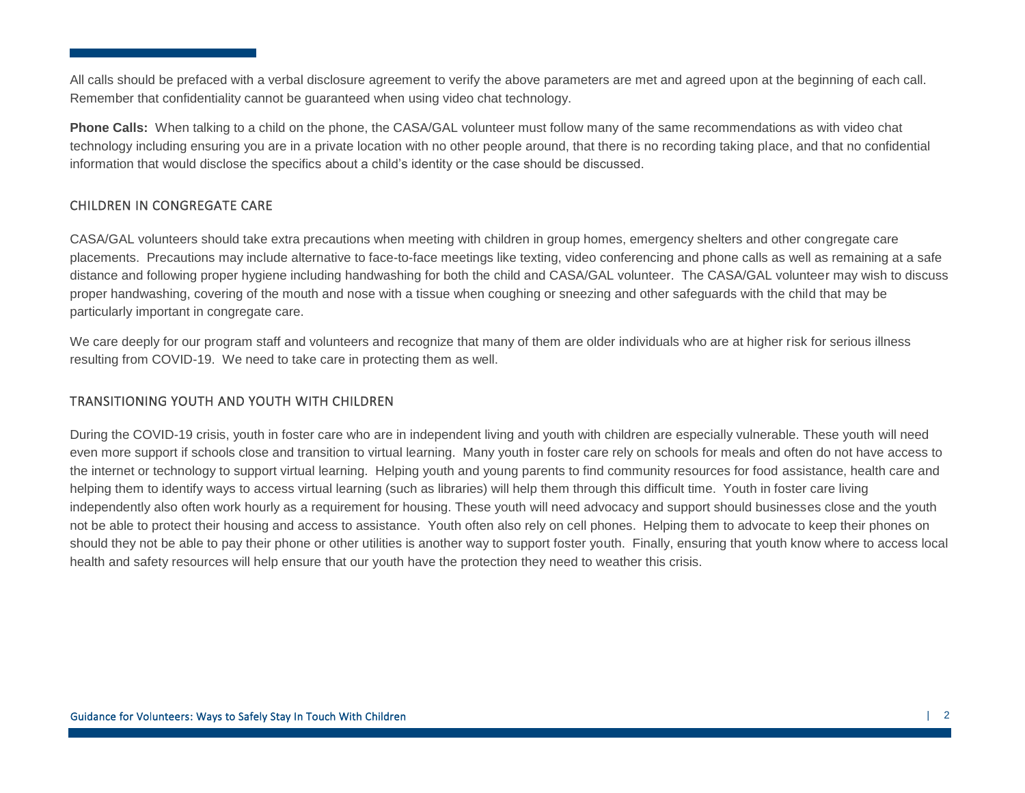All calls should be prefaced with a verbal disclosure agreement to verify the above parameters are met and agreed upon at the beginning of each call. Remember that confidentiality cannot be guaranteed when using video chat technology.

**Phone Calls:** When talking to a child on the phone, the CASA/GAL volunteer must follow many of the same recommendations as with video chat technology including ensuring you are in a private location with no other people around, that there is no recording taking place, and that no confidential information that would disclose the specifics about a child's identity or the case should be discussed.

# CHILDREN IN CONGREGATE CARE

CASA/GAL volunteers should take extra precautions when meeting with children in group homes, emergency shelters and other congregate care placements. Precautions may include alternative to face-to-face meetings like texting, video conferencing and phone calls as well as remaining at a safe distance and following proper hygiene including handwashing for both the child and CASA/GAL volunteer. The CASA/GAL volunteer may wish to discuss proper handwashing, covering of the mouth and nose with a tissue when coughing or sneezing and other safeguards with the child that may be particularly important in congregate care.

We care deeply for our program staff and volunteers and recognize that many of them are older individuals who are at higher risk for serious illness resulting from COVID-19. We need to take care in protecting them as well.

# TRANSITIONING YOUTH AND YOUTH WITH CHILDREN

During the COVID-19 crisis, youth in foster care who are in independent living and youth with children are especially vulnerable. These youth will need even more support if schools close and transition to virtual learning. Many youth in foster care rely on schools for meals and often do not have access to the internet or technology to support virtual learning. Helping youth and young parents to find community resources for food assistance, health care and helping them to identify ways to access virtual learning (such as libraries) will help them through this difficult time. Youth in foster care living independently also often work hourly as a requirement for housing. These youth will need advocacy and support should businesses close and the youth not be able to protect their housing and access to assistance. Youth often also rely on cell phones. Helping them to advocate to keep their phones on should they not be able to pay their phone or other utilities is another way to support foster youth. Finally, ensuring that youth know where to access local health and safety resources will help ensure that our youth have the protection they need to weather this crisis.